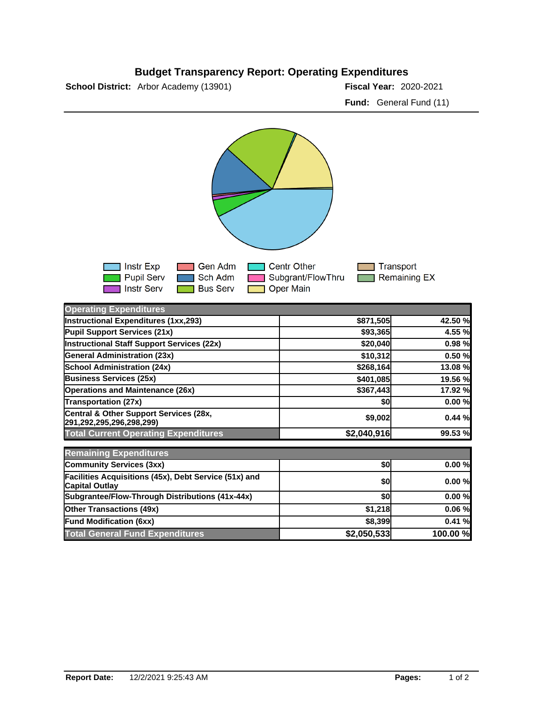## **Budget Transparency Report: Operating Expenditures**

**School District:** Arbor Academy (13901)

Fiscal Year: 2020-2021 **Fund:** General Fund (11)



| <b>Operating Expenditures</b>                                                  |             |          |
|--------------------------------------------------------------------------------|-------------|----------|
| Instructional Expenditures (1xx,293)                                           | \$871,505   | 42.50 %  |
| Pupil Support Services (21x)                                                   | \$93,365    | 4.55 %   |
| Instructional Staff Support Services (22x)                                     | \$20,040    | 0.98%    |
| <b>General Administration (23x)</b>                                            | \$10,312    | 0.50%    |
| <b>School Administration (24x)</b>                                             | \$268,164   | 13.08 %  |
| <b>Business Services (25x)</b>                                                 | \$401,085   | 19.56 %  |
| <b>Operations and Maintenance (26x)</b>                                        | \$367,443   | 17.92 %  |
| <b>Transportation (27x)</b>                                                    | \$0         | 0.00%    |
| Central & Other Support Services (28x,<br>291,292,295,296,298,299)             | \$9,002     | 0.44%    |
| <b>Total Current Operating Expenditures</b>                                    | \$2,040,916 | 99.53 %  |
| <b>Remaining Expenditures</b>                                                  |             |          |
| Community Services (3xx)                                                       | \$0         | 0.00%    |
| Facilities Acquisitions (45x), Debt Service (51x) and<br><b>Capital Outlay</b> | \$0         | 0.00%    |
| Subgrantee/Flow-Through Distributions (41x-44x)                                | \$0         | 0.00%    |
| <b>Other Transactions (49x)</b>                                                | \$1,218     | 0.06%    |
| <b>Fund Modification (6xx)</b>                                                 | \$8,399     | 0.41%    |
| <b>Total General Fund Expenditures</b>                                         | \$2,050,533 | 100.00 % |